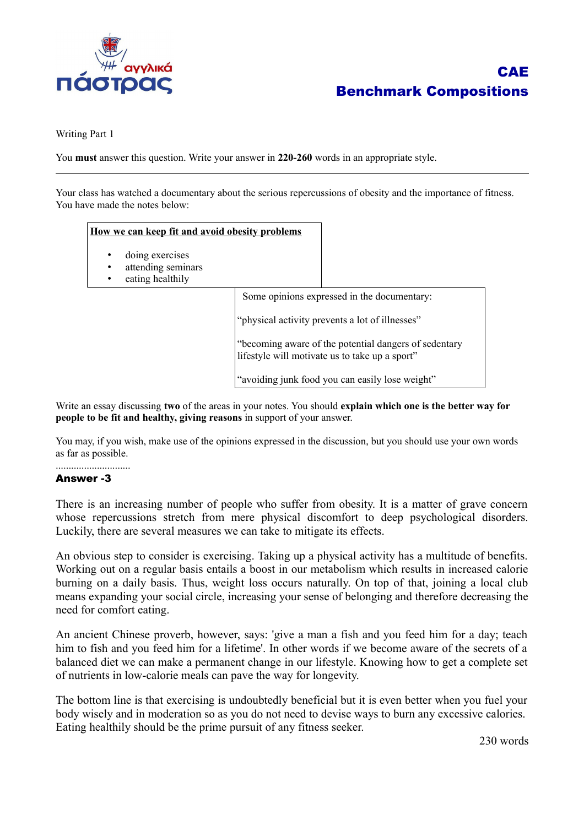

Writing Part 1

 $\overline{a}$ 

You **must** answer this question. Write your answer in **220-260** words in an appropriate style.

Your class has watched a documentary about the serious repercussions of obesity and the importance of fitness. You have made the notes below:

| How we can keep fit and avoid obesity problems            |                                                                                                                                                                                                               |  |
|-----------------------------------------------------------|---------------------------------------------------------------------------------------------------------------------------------------------------------------------------------------------------------------|--|
| doing exercises<br>attending seminars<br>eating healthily |                                                                                                                                                                                                               |  |
|                                                           | Some opinions expressed in the documentary:                                                                                                                                                                   |  |
|                                                           | "physical activity prevents a lot of illnesses"<br>"becoming aware of the potential dangers of sedentary<br>lifestyle will motivate us to take up a sport"<br>"avoiding junk food you can easily lose weight" |  |
|                                                           |                                                                                                                                                                                                               |  |
|                                                           |                                                                                                                                                                                                               |  |
|                                                           |                                                                                                                                                                                                               |  |

Write an essay discussing **two** of the areas in your notes. You should **explain which one is the better way for people to be fit and healthy, giving reasons** in support of your answer.

You may, if you wish, make use of the opinions expressed in the discussion, but you should use your own words as far as possible.

#### ............................. Answer -3

There is an increasing number of people who suffer from obesity. It is a matter of grave concern whose repercussions stretch from mere physical discomfort to deep psychological disorders. Luckily, there are several measures we can take to mitigate its effects.

An obvious step to consider is exercising. Taking up a physical activity has a multitude of benefits. Working out on a regular basis entails a boost in our metabolism which results in increased calorie burning on a daily basis. Thus, weight loss occurs naturally. On top of that, joining a local club means expanding your social circle, increasing your sense of belonging and therefore decreasing the need for comfort eating.

An ancient Chinese proverb, however, says: 'give a man a fish and you feed him for a day; teach him to fish and you feed him for a lifetime'. In other words if we become aware of the secrets of a balanced diet we can make a permanent change in our lifestyle. Knowing how to get a complete set of nutrients in low-calorie meals can pave the way for longevity.

The bottom line is that exercising is undoubtedly beneficial but it is even better when you fuel your body wisely and in moderation so as you do not need to devise ways to burn any excessive calories. Eating healthily should be the prime pursuit of any fitness seeker.

230 words